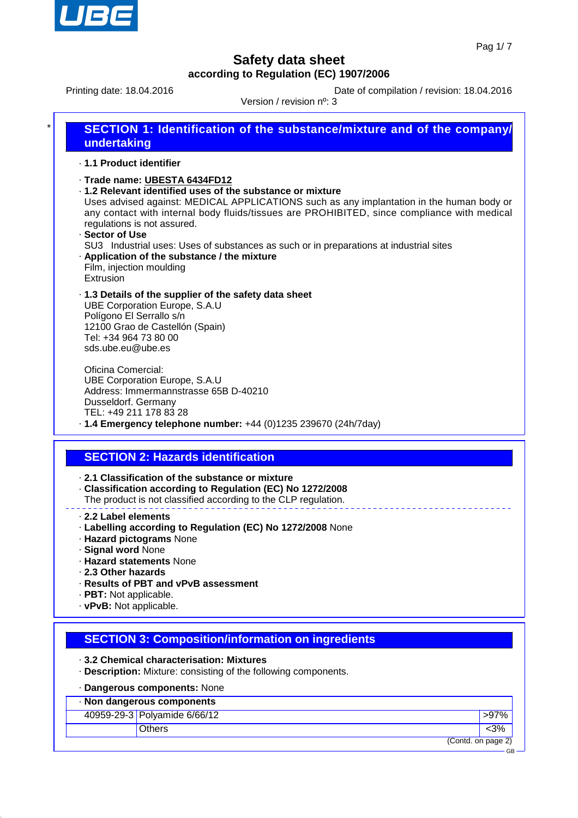

GB

# **Safety data sheet according to Regulation (EC) 1907/2006**

Printing date: 18.04.2016 Date of compilation / revision: 18.04.2016

| SECTION 1: Identification of the substance/mixture and of the company/<br>undertaking<br>· 1.1 Product identifier<br>· Trade name: UBESTA 6434FD12<br>. 1.2 Relevant identified uses of the substance or mixture<br>Uses advised against: MEDICAL APPLICATIONS such as any implantation in the human body or<br>any contact with internal body fluids/tissues are PROHIBITED, since compliance with medical<br>regulations is not assured.<br>· Sector of Use<br>SU3 Industrial uses: Uses of substances as such or in preparations at industrial sites<br>. Application of the substance / the mixture<br>Film, injection moulding |  |
|-------------------------------------------------------------------------------------------------------------------------------------------------------------------------------------------------------------------------------------------------------------------------------------------------------------------------------------------------------------------------------------------------------------------------------------------------------------------------------------------------------------------------------------------------------------------------------------------------------------------------------------|--|
|                                                                                                                                                                                                                                                                                                                                                                                                                                                                                                                                                                                                                                     |  |
|                                                                                                                                                                                                                                                                                                                                                                                                                                                                                                                                                                                                                                     |  |
| Extrusion                                                                                                                                                                                                                                                                                                                                                                                                                                                                                                                                                                                                                           |  |
| .1.3 Details of the supplier of the safety data sheet<br><b>UBE Corporation Europe, S.A.U</b><br>Polígono El Serrallo s/n<br>12100 Grao de Castellón (Spain)<br>Tel: +34 964 73 80 00<br>sds.ube.eu@ube.es                                                                                                                                                                                                                                                                                                                                                                                                                          |  |
| Oficina Comercial:<br><b>UBE Corporation Europe, S.A.U</b><br>Address: Immermannstrasse 65B D-40210<br>Dusseldorf. Germany<br>TEL: +49 211 178 83 28<br>· 1.4 Emergency telephone number: +44 (0)1235 239670 (24h/7day)                                                                                                                                                                                                                                                                                                                                                                                                             |  |
| <b>SECTION 2: Hazards identification</b>                                                                                                                                                                                                                                                                                                                                                                                                                                                                                                                                                                                            |  |
| 2.1 Classification of the substance or mixture<br>- Classification according to Regulation (EC) No 1272/2008<br>The product is not classified according to the CLP regulation.<br>2.2 Label elements<br>· Labelling according to Regulation (EC) No 1272/2008 None<br>· Hazard pictograms None<br>· Signal word None                                                                                                                                                                                                                                                                                                                |  |

- · **2.3 Other hazards** · **Results of PBT and vPvB assessment**
- · **PBT:** Not applicable.
- · **vPvB:** Not applicable.

### **SECTION 3: Composition/information on ingredients**

· **3.2 Chemical characterisation: Mixtures**

· **Description:** Mixture: consisting of the following components.

#### · **Dangerous components:** None

| · Non dangerous components |                              |                    |  |
|----------------------------|------------------------------|--------------------|--|
|                            | 40959-29-3 Polyamide 6/66/12 | >97%               |  |
|                            | <b>Others</b>                |                    |  |
|                            |                              | (Contd. on page 2) |  |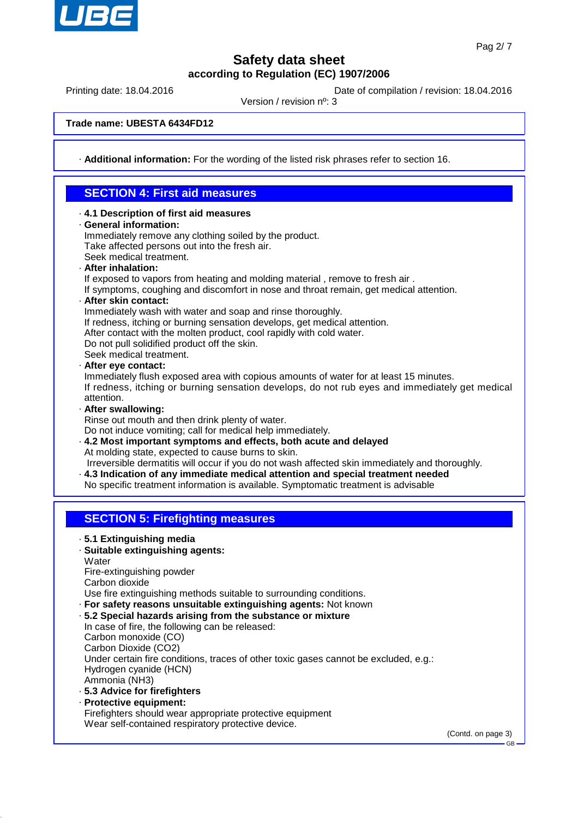

Printing date: 18.04.2016 **Date of compilation / revision: 18.04.2016** 

Version / revision nº: 3

**Trade name: UBESTA 6434FD12**

· **Additional information:** For the wording of the listed risk phrases refer to section 16.

### **SECTION 4: First aid measures**

· **4.1 Description of first aid measures** · **General information:** Immediately remove any clothing soiled by the product. Take affected persons out into the fresh air. Seek medical treatment. · **After inhalation:** If exposed to vapors from heating and molding material , remove to fresh air . If symptoms, coughing and discomfort in nose and throat remain, get medical attention. · **After skin contact:** Immediately wash with water and soap and rinse thoroughly. If redness, itching or burning sensation develops, get medical attention. After contact with the molten product, cool rapidly with cold water. Do not pull solidified product off the skin. Seek medical treatment. · **After eye contact:** Immediately flush exposed area with copious amounts of water for at least 15 minutes. If redness, itching or burning sensation develops, do not rub eyes and immediately get medical attention. · **After swallowing:** Rinse out mouth and then drink plenty of water. Do not induce vomiting; call for medical help immediately. · **4.2 Most important symptoms and effects, both acute and delayed** At molding state, expected to cause burns to skin. Irreversible dermatitis will occur if you do not wash affected skin immediately and thoroughly. · **4.3 Indication of any immediate medical attention and special treatment needed** No specific treatment information is available. Symptomatic treatment is advisable **SECTION 5: Firefighting measures** · **5.1 Extinguishing media** · **Suitable extinguishing agents: Water** Fire-extinguishing powder Carbon dioxide Use fire extinguishing methods suitable to surrounding conditions. · **For safety reasons unsuitable extinguishing agents:** Not known · **5.2 Special hazards arising from the substance or mixture** In case of fire, the following can be released: Carbon monoxide (CO) Carbon Dioxide (CO2) Under certain fire conditions, traces of other toxic gases cannot be excluded, e.g.: Hydrogen cyanide (HCN) Ammonia (NH3) · **5.3 Advice for firefighters** · **Protective equipment:** Firefighters should wear appropriate protective equipment Wear self-contained respiratory protective device.

(Contd. on page 3)

GB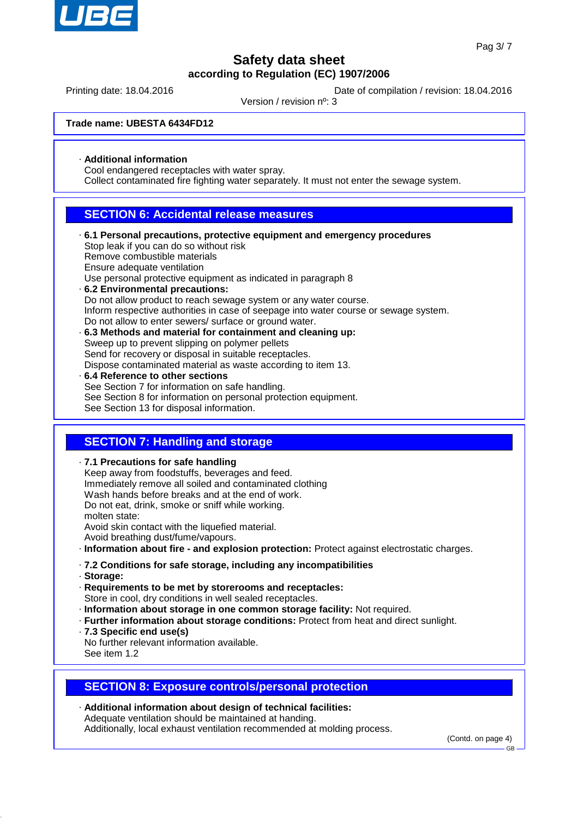

Printing date: 18.04.2016 **Date of compilation / revision: 18.04.2016** 

Version / revision nº: 3

**Trade name: UBESTA 6434FD12**

· **Additional information**

Cool endangered receptacles with water spray.

Collect contaminated fire fighting water separately. It must not enter the sewage system.

### **SECTION 6: Accidental release measures**

- · **6.1 Personal precautions, protective equipment and emergency procedures** Stop leak if you can do so without risk Remove combustible materials Ensure adequate ventilation Use personal protective equipment as indicated in paragraph 8 · **6.2 Environmental precautions:** Do not allow product to reach sewage system or any water course. Inform respective authorities in case of seepage into water course or sewage system. Do not allow to enter sewers/ surface or ground water. · **6.3 Methods and material for containment and cleaning up:** Sweep up to prevent slipping on polymer pellets Send for recovery or disposal in suitable receptacles. Dispose contaminated material as waste according to item 13. · **6.4 Reference to other sections**
- See Section 7 for information on safe handling. See Section 8 for information on personal protection equipment. See Section 13 for disposal information.

### **SECTION 7: Handling and storage**

· **7.1 Precautions for safe handling** Keep away from foodstuffs, beverages and feed. Immediately remove all soiled and contaminated clothing Wash hands before breaks and at the end of work. Do not eat, drink, smoke or sniff while working. molten state: Avoid skin contact with the liquefied material. Avoid breathing dust/fume/vapours. · **Information about fire - and explosion protection:** Protect against electrostatic charges. · **7.2 Conditions for safe storage, including any incompatibilities** · **Storage:** · **Requirements to be met by storerooms and receptacles:** Store in cool, dry conditions in well sealed receptacles. · **Information about storage in one common storage facility:** Not required. · **Further information about storage conditions:** Protect from heat and direct sunlight. · **7.3 Specific end use(s)** No further relevant information available. See item 1.2

### **SECTION 8: Exposure controls/personal protection**

· **Additional information about design of technical facilities:** Adequate ventilation should be maintained at handing. Additionally, local exhaust ventilation recommended at molding process.

(Contd. on page 4)

GB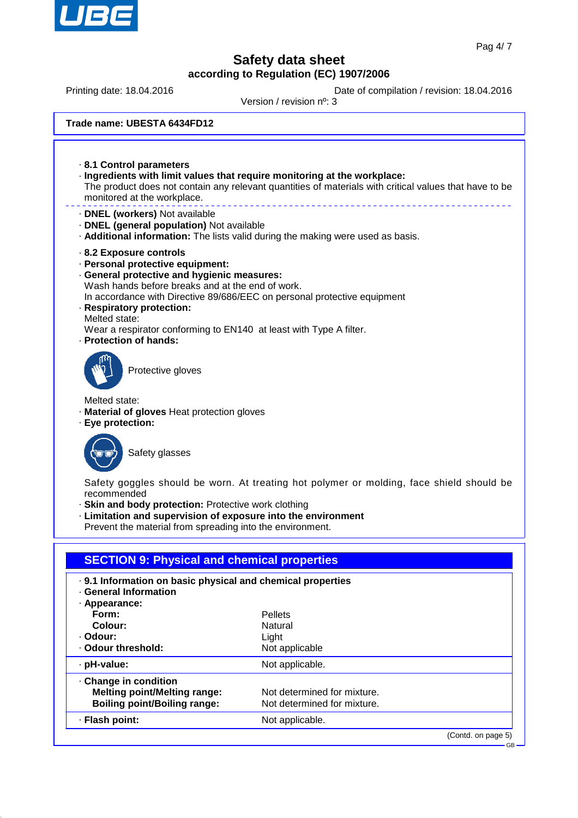

Printing date: 18.04.2016 **Date of compilation / revision: 18.04.2016** 

Version / revision nº: 3

**Trade name: UBESTA 6434FD12**

· **8.1 Control parameters** · **Ingredients with limit values that require monitoring at the workplace:** The product does not contain any relevant quantities of materials with critical values that have to be monitored at the workplace. · **DNEL (workers)** Not available · **DNEL (general population)** Not available · **Additional information:** The lists valid during the making were used as basis. · **8.2 Exposure controls** · **Personal protective equipment:** · **General protective and hygienic measures:** Wash hands before breaks and at the end of work. In accordance with Directive 89/686/EEC on personal protective equipment · **Respiratory protection:** Melted state: Wear a respirator conforming to EN140 at least with Type A filter. · **Protection of hands:** Protective gloves Melted state: · **Material of gloves** Heat protection gloves · **Eye protection:** Safety glasses Safety goggles should be worn. At treating hot polymer or molding, face shield should be recommended · **Skin and body protection:** Protective work clothing · **Limitation and supervision of exposure into the environment** Prevent the material from spreading into the environment. **SECTION 9: Physical and chemical properties** · **9.1 Information on basic physical and chemical properties** · **General Information** · **Appearance: Form:** Pellets **Colour:** Natural

| · Odour:<br>Odour threshold:                                                                      | Light<br>Not applicable                                    |
|---------------------------------------------------------------------------------------------------|------------------------------------------------------------|
| · pH-value:                                                                                       | Not applicable.                                            |
| Change in condition<br><b>Melting point/Melting range:</b><br><b>Boiling point/Boiling range:</b> | Not determined for mixture.<br>Not determined for mixture. |
| · Flash point:                                                                                    | Not applicable.                                            |

(Contd. on page 5)

GB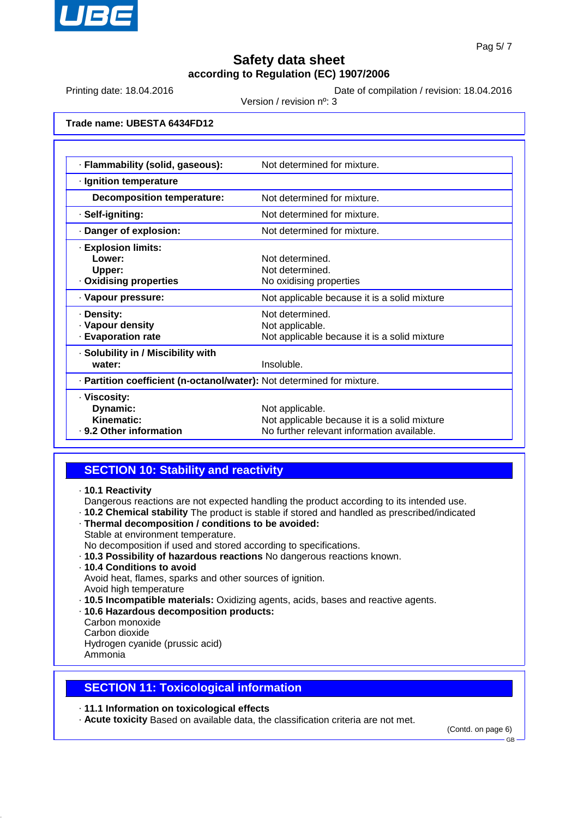

Printing date: 18.04.2016 **Date of compilation / revision: 18.04.2016** 

Version / revision nº: 3

**Trade name: UBESTA 6434FD12**

| · Flammability (solid, gaseous):                                       | Not determined for mixture.                                                                                   |  |  |
|------------------------------------------------------------------------|---------------------------------------------------------------------------------------------------------------|--|--|
| · Ignition temperature                                                 |                                                                                                               |  |  |
| <b>Decomposition temperature:</b>                                      | Not determined for mixture.                                                                                   |  |  |
| · Self-igniting:                                                       | Not determined for mixture.                                                                                   |  |  |
| Danger of explosion:                                                   | Not determined for mixture.                                                                                   |  |  |
| · Explosion limits:<br>Lower:<br>Upper:<br>Oxidising properties        | Not determined<br>Not determined.<br>No oxidising properties                                                  |  |  |
| · Vapour pressure:                                                     | Not applicable because it is a solid mixture                                                                  |  |  |
| · Density:<br>· Vapour density<br><b>Evaporation rate</b>              | Not determined.<br>Not applicable.<br>Not applicable because it is a solid mixture                            |  |  |
| · Solubility in / Miscibility with<br>water:                           | Insoluble.                                                                                                    |  |  |
| · Partition coefficient (n-octanol/water): Not determined for mixture. |                                                                                                               |  |  |
| · Viscosity:<br>Dynamic:<br>Kinematic:<br>. 9.2 Other information      | Not applicable.<br>Not applicable because it is a solid mixture<br>No further relevant information available. |  |  |

### **SECTION 10: Stability and reactivity**

· **10.1 Reactivity**

Dangerous reactions are not expected handling the product according to its intended use.

- · **10.2 Chemical stability** The product is stable if stored and handled as prescribed/indicated
- · **Thermal decomposition / conditions to be avoided:**
- Stable at environment temperature.
- No decomposition if used and stored according to specifications.
- · **10.3 Possibility of hazardous reactions** No dangerous reactions known.
- · **10.4 Conditions to avoid**

Avoid heat, flames, sparks and other sources of ignition.

- Avoid high temperature
- · **10.5 Incompatible materials:** Oxidizing agents, acids, bases and reactive agents.
- · **10.6 Hazardous decomposition products:**
- Carbon monoxide
- Carbon dioxide

Hydrogen cyanide (prussic acid) Ammonia

**SECTION 11: Toxicological information**

· **11.1 Information on toxicological effects**

· **Acute toxicity** Based on available data, the classification criteria are not met.

(Contd. on page 6)

GB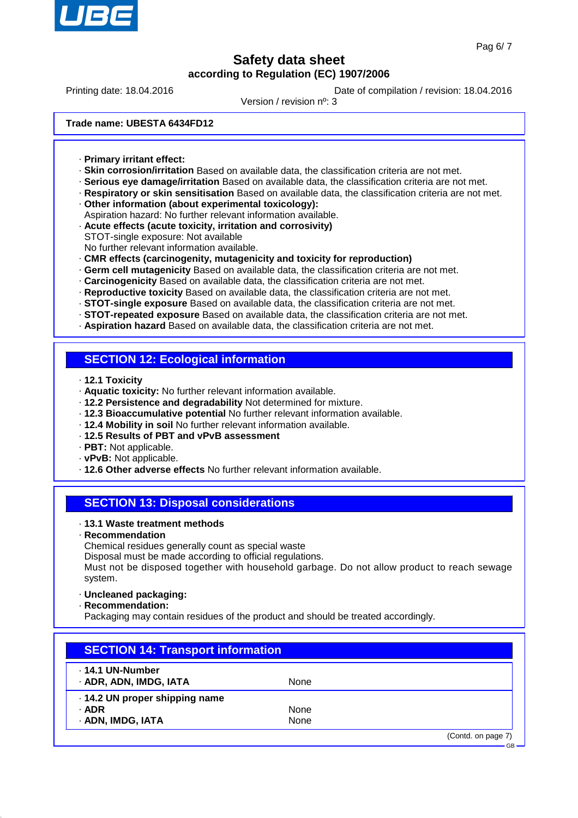

Printing date: 18.04.2016 **Date of compilation / revision: 18.04.2016** 

Version / revision nº: 3

**Trade name: UBESTA 6434FD12**

- · **Primary irritant effect:**
- · **Skin corrosion/irritation** Based on available data, the classification criteria are not met.
- · **Serious eye damage/irritation** Based on available data, the classification criteria are not met.
- · **Respiratory or skin sensitisation** Based on available data, the classification criteria are not met.
- · **Other information (about experimental toxicology):**
- Aspiration hazard: No further relevant information available.
- · **Acute effects (acute toxicity, irritation and corrosivity)**
- STOT-single exposure: Not available
- No further relevant information available.
- · **CMR effects (carcinogenity, mutagenicity and toxicity for reproduction)**
- · **Germ cell mutagenicity** Based on available data, the classification criteria are not met.
- · **Carcinogenicity** Based on available data, the classification criteria are not met.
- · **Reproductive toxicity** Based on available data, the classification criteria are not met.
- · **STOT-single exposure** Based on available data, the classification criteria are not met.
- · **STOT-repeated exposure** Based on available data, the classification criteria are not met.
- · **Aspiration hazard** Based on available data, the classification criteria are not met.

#### **SECTION 12: Ecological information**

- · **12.1 Toxicity**
- · **Aquatic toxicity:** No further relevant information available.
- · **12.2 Persistence and degradability** Not determined for mixture.
- · **12.3 Bioaccumulative potential** No further relevant information available.
- · **12.4 Mobility in soil** No further relevant information available.
- · **12.5 Results of PBT and vPvB assessment**
- · **PBT:** Not applicable.
- · **vPvB:** Not applicable.
- · **12.6 Other adverse effects** No further relevant information available.

#### **SECTION 13: Disposal considerations**

#### · **13.1 Waste treatment methods**

· **Recommendation**

Chemical residues generally count as special waste

Disposal must be made according to official regulations.

Must not be disposed together with household garbage. Do not allow product to reach sewage system.

- · **Uncleaned packaging:**
- · **Recommendation:**

Packaging may contain residues of the product and should be treated accordingly.

| <b>SECTION 14: Transport information</b> |      |                    |
|------------------------------------------|------|--------------------|
| . 14.1 UN-Number                         |      |                    |
| · ADR, ADN, IMDG, IATA                   | None |                    |
| · 14.2 UN proper shipping name           |      |                    |
| $·$ ADR                                  | None |                    |
| · ADN, IMDG, IATA                        | None |                    |
|                                          |      | (Contd. on page 7) |
|                                          |      |                    |